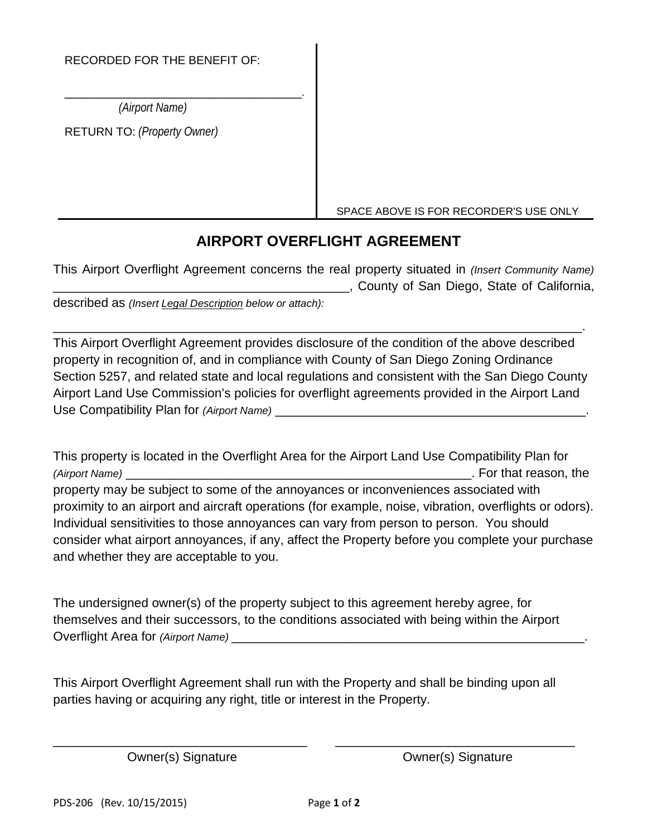## RECORDED FOR THE BENEFIT OF:

\_\_\_\_\_\_\_\_\_\_\_\_\_\_\_\_\_\_\_\_\_\_\_\_\_\_\_\_\_\_\_\_\_\_\_\_\_\_\_\_\_.  *(Airport Name)*

RETURN TO: *(Property Owner)*

SPACE ABOVE IS FOR RECORDER'S USE ONLY

## **AIRPORT OVERFLIGHT AGREEMENT**

This Airport Overflight Agreement concerns the real property situated in *(Insert Community Name)* **EXECUTE:** County of San Diego, State of California, described as *(Insert Legal Description below or attach):*

This Airport Overflight Agreement provides disclosure of the condition of the above described property in recognition of, and in compliance with County of San Diego Zoning Ordinance Section 5257, and related state and local regulations and consistent with the San Diego County Airport Land Use Commission's policies for overflight agreements provided in the Airport Land Use Compatibility Plan for *(Airport Name)* \_\_\_\_\_\_\_\_\_\_\_\_\_\_\_\_\_\_\_\_\_\_\_\_\_\_\_\_\_\_\_\_\_\_\_\_\_\_\_\_\_\_\_\_.

\_\_\_\_\_\_\_\_\_\_\_\_\_\_\_\_\_\_\_\_\_\_\_\_\_\_\_\_\_\_\_\_\_\_\_\_\_\_\_\_\_\_\_\_\_\_\_\_\_\_\_\_\_\_\_\_\_\_\_\_\_\_\_\_\_\_\_\_\_\_\_\_\_\_\_.

This property is located in the Overflight Area for the Airport Land Use Compatibility Plan for *(Airport Name)* \_\_\_\_\_\_\_\_\_\_\_\_\_\_\_\_\_\_\_\_\_\_\_\_\_\_\_\_\_\_\_\_\_\_\_\_\_\_\_\_\_\_\_\_\_\_\_\_\_. For that reason, the property may be subject to some of the annoyances or inconveniences associated with proximity to an airport and aircraft operations (for example, noise, vibration, overflights or odors). Individual sensitivities to those annoyances can vary from person to person. You should consider what airport annoyances, if any, affect the Property before you complete your purchase and whether they are acceptable to you.

The undersigned owner(s) of the property subject to this agreement hereby agree, for themselves and their successors, to the conditions associated with being within the Airport Overflight Area for *(Airport Name)* \_\_\_\_\_\_\_\_\_\_\_

This Airport Overflight Agreement shall run with the Property and shall be binding upon all parties having or acquiring any right, title or interest in the Property.

\_\_\_\_\_\_\_\_\_\_\_\_\_\_\_\_\_\_\_\_\_\_\_\_\_\_\_\_\_\_\_\_\_\_\_\_ \_\_\_\_\_\_\_\_\_\_\_\_\_\_\_\_\_\_\_\_\_\_\_\_\_\_\_\_\_\_\_\_\_\_

Owner(s) Signature Cwner(s) Signature